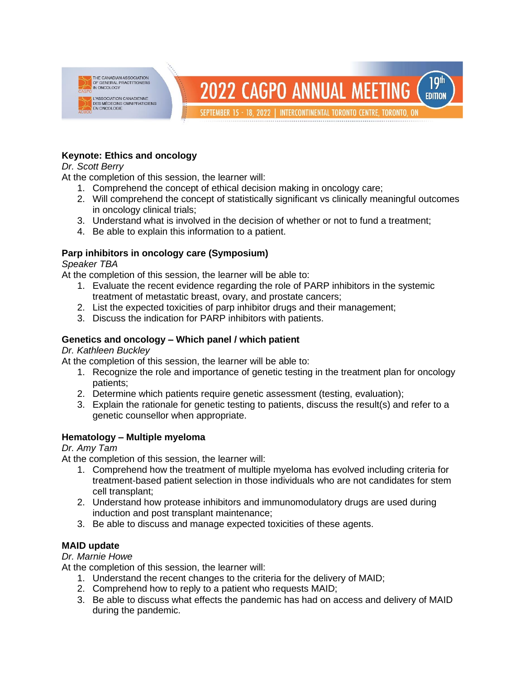

## **Keynote: Ethics and oncology**

*Dr. Scott Berry*

At the completion of this session, the learner will:

- 1. Comprehend the concept of ethical decision making in oncology care;
- 2. Will comprehend the concept of statistically significant vs clinically meaningful outcomes in oncology clinical trials;
- 3. Understand what is involved in the decision of whether or not to fund a treatment;
- 4. Be able to explain this information to a patient.

# **Parp inhibitors in oncology care (Symposium)**

## *Speaker TBA*

At the completion of this session, the learner will be able to:

- 1. Evaluate the recent evidence regarding the role of PARP inhibitors in the systemic treatment of metastatic breast, ovary, and prostate cancers;
- 2. List the expected toxicities of parp inhibitor drugs and their management;
- 3. Discuss the indication for PARP inhibitors with patients.

# **Genetics and oncology – Which panel / which patient**

## *Dr. Kathleen Buckley*

At the completion of this session, the learner will be able to:

- 1. Recognize the role and importance of genetic testing in the treatment plan for oncology patients;
- 2. Determine which patients require genetic assessment (testing, evaluation);
- 3. Explain the rationale for genetic testing to patients, discuss the result(s) and refer to a genetic counsellor when appropriate.

# **Hematology – Multiple myeloma**

## *Dr. Amy Tam*

At the completion of this session, the learner will:

- 1. Comprehend how the treatment of multiple myeloma has evolved including criteria for treatment-based patient selection in those individuals who are not candidates for stem cell transplant;
- 2. Understand how protease inhibitors and immunomodulatory drugs are used during induction and post transplant maintenance;
- 3. Be able to discuss and manage expected toxicities of these agents.

# **MAID update**

*Dr. Marnie Howe*

At the completion of this session, the learner will:

- 1. Understand the recent changes to the criteria for the delivery of MAID;
- 2. Comprehend how to reply to a patient who requests MAID;
- 3. Be able to discuss what effects the pandemic has had on access and delivery of MAID during the pandemic.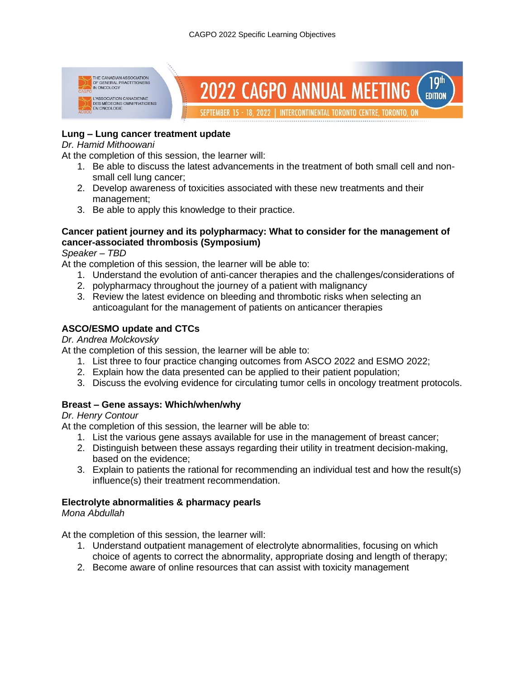

## **Lung – Lung cancer treatment update**

#### *Dr. Hamid Mithoowani*

At the completion of this session, the learner will:

- 1. Be able to discuss the latest advancements in the treatment of both small cell and nonsmall cell lung cancer;
- 2. Develop awareness of toxicities associated with these new treatments and their management;
- 3. Be able to apply this knowledge to their practice.

## **Cancer patient journey and its polypharmacy: What to consider for the management of cancer-associated thrombosis (Symposium)**

*Speaker – TBD*

At the completion of this session, the learner will be able to:

- 1. Understand the evolution of anti-cancer therapies and the challenges/considerations of
- 2. polypharmacy throughout the journey of a patient with malignancy
- 3. Review the latest evidence on bleeding and thrombotic risks when selecting an anticoagulant for the management of patients on anticancer therapies

## **ASCO/ESMO update and CTCs**

#### *Dr. Andrea Molckovsky*

At the completion of this session, the learner will be able to:

- 1. List three to four practice changing outcomes from ASCO 2022 and ESMO 2022;
- 2. Explain how the data presented can be applied to their patient population;
- 3. Discuss the evolving evidence for circulating tumor cells in oncology treatment protocols.

## **Breast – Gene assays: Which/when/why**

## *Dr. Henry Contour*

At the completion of this session, the learner will be able to:

- 1. List the various gene assays available for use in the management of breast cancer;
- 2. Distinguish between these assays regarding their utility in treatment decision-making, based on the evidence;
- 3. Explain to patients the rational for recommending an individual test and how the result(s) influence(s) their treatment recommendation.

## **Electrolyte abnormalities & pharmacy pearls**

## *Mona Abdullah*

At the completion of this session, the learner will:

- 1. Understand outpatient management of electrolyte abnormalities, focusing on which choice of agents to correct the abnormality, appropriate dosing and length of therapy;
- 2. Become aware of online resources that can assist with toxicity management